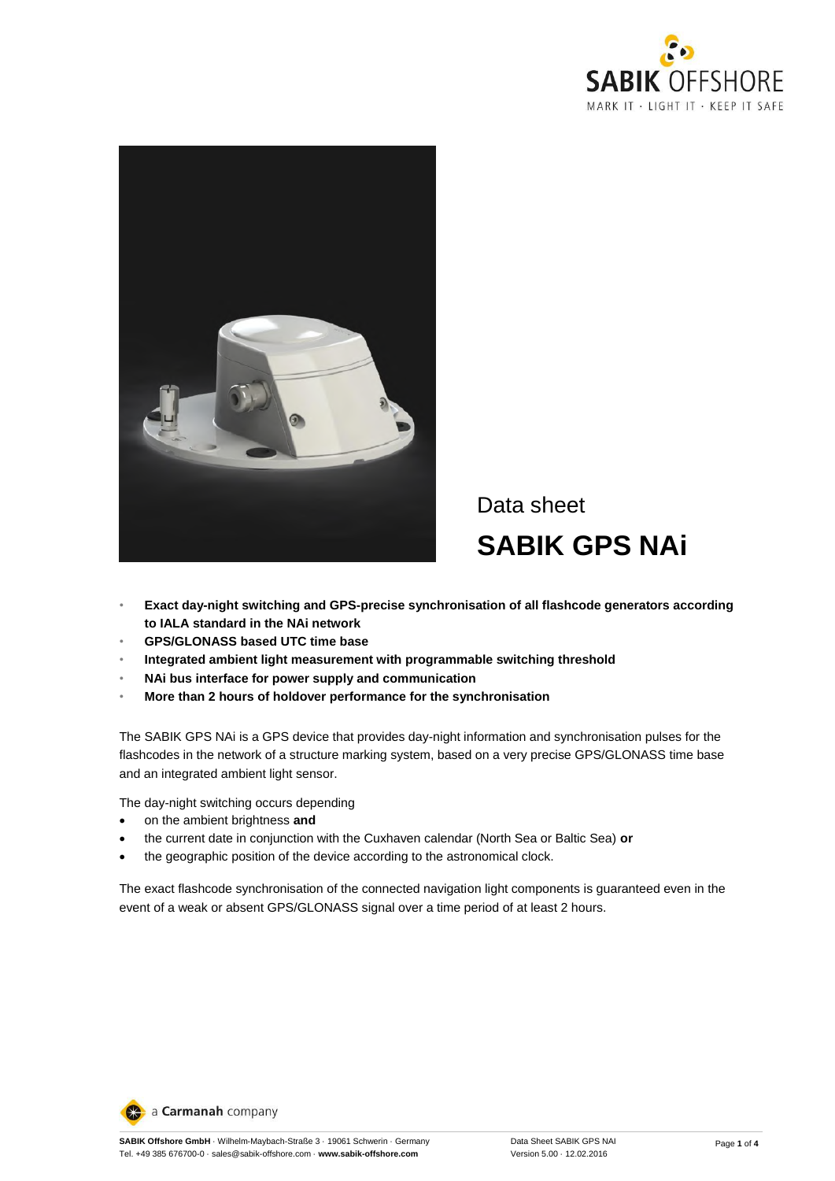



# Data sheet **SABIK GPS NAi**

- **Exact day-night switching and GPS-precise synchronisation of all flashcode generators according to IALA standard in the NAi network**
- **GPS/GLONASS based UTC time base**
- **Integrated ambient light measurement with programmable switching threshold**
- **NAi bus interface for power supply and communication**
- **More than 2 hours of holdover performance for the synchronisation**

The SABIK GPS NAi is a GPS device that provides day-night information and synchronisation pulses for the flashcodes in the network of a structure marking system, based on a very precise GPS/GLONASS time base and an integrated ambient light sensor.

The day-night switching occurs depending

- on the ambient brightness **and**
- the current date in conjunction with the Cuxhaven calendar (North Sea or Baltic Sea) **or**
- the geographic position of the device according to the astronomical clock.

The exact flashcode synchronisation of the connected navigation light components is guaranteed even in the event of a weak or absent GPS/GLONASS signal over a time period of at least 2 hours.

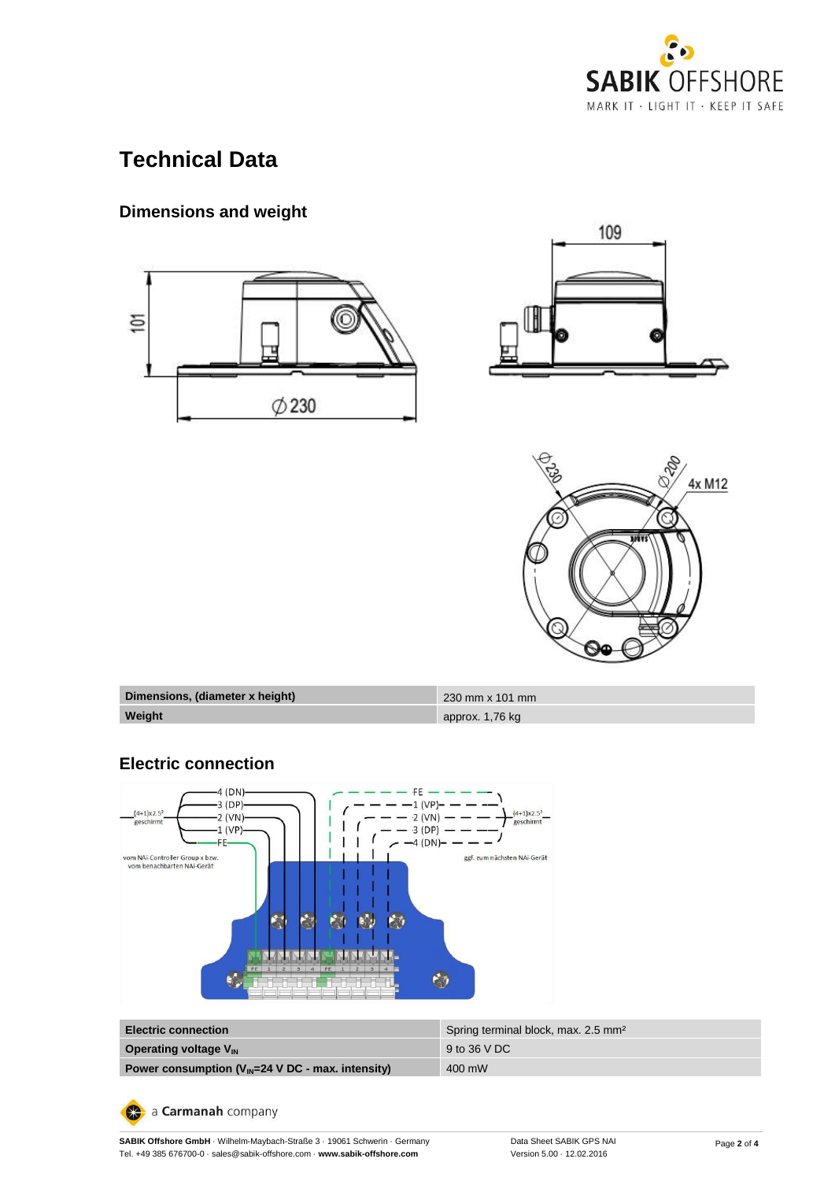

# **Technical Data**

## **Dimensions and weight**







| Dimensions, (diameter x height) | $230 \text{ mm} \times 101 \text{ mm}$ |
|---------------------------------|----------------------------------------|
| Weight                          | approx. 1,76 kg                        |

#### **Electric connection**



| <b>Electric connection</b>                                           | Spring terminal block, max. 2.5 mm <sup>2</sup> |
|----------------------------------------------------------------------|-------------------------------------------------|
| <b>Operating voltage V<sub>IN</sub></b>                              | 9 to 36 V DC                                    |
| Power consumption $(V_{\text{IN}}=24 \text{ V DC}$ - max. intensity) | 400 mW                                          |

a Carmanah company

**SABIK Offshore GmbH** · Wilhelm-Maybach-Straße 3 · 19061 Schwerin · Germany Tel. +49 385 676700-0 · sales@sabik-offshore.com · **www.sabik-offshore.com**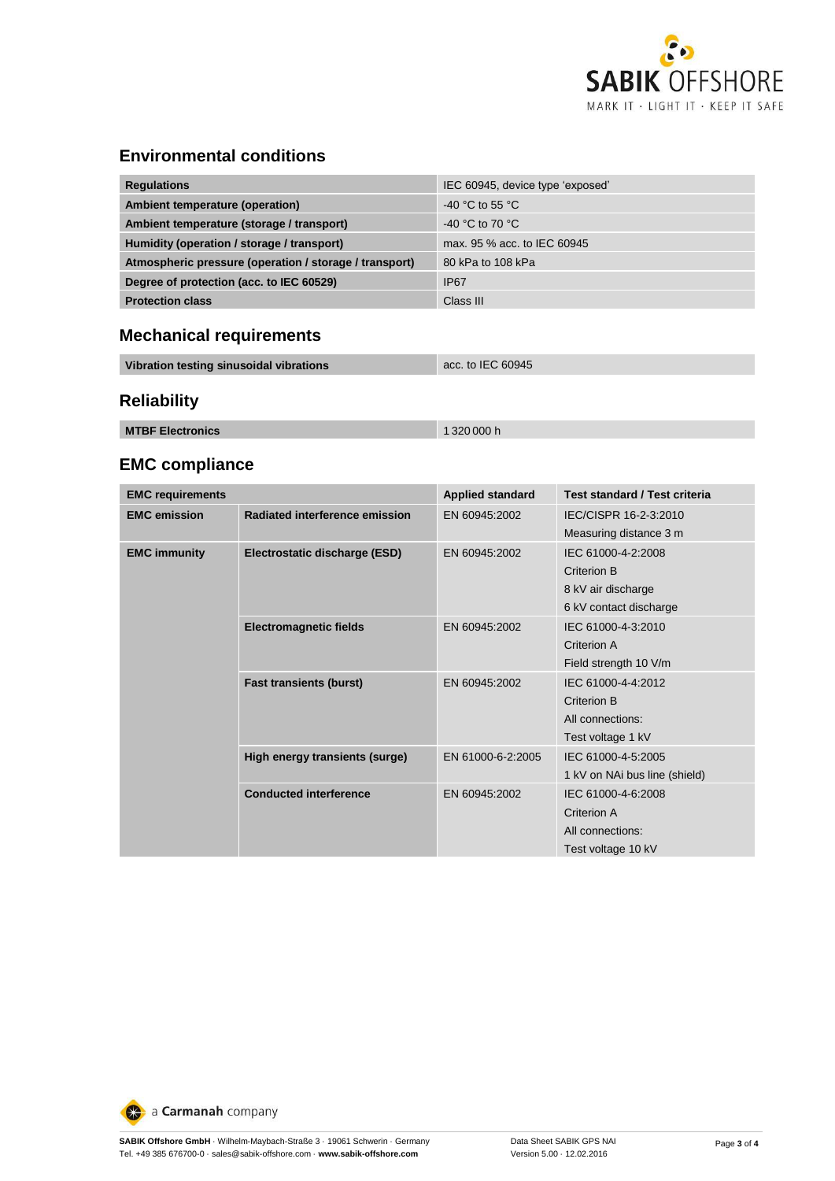

#### **Environmental conditions**

| <b>Regulations</b>                                     | IEC 60945, device type 'exposed' |
|--------------------------------------------------------|----------------------------------|
| Ambient temperature (operation)                        | $-40$ °C to 55 °C.               |
| Ambient temperature (storage / transport)              | -40 °C to 70 °C                  |
| Humidity (operation / storage / transport)             | max, 95 % acc, to IEC 60945      |
| Atmospheric pressure (operation / storage / transport) | 80 kPa to 108 kPa                |
| Degree of protection (acc. to IEC 60529)               | <b>IP67</b>                      |
| <b>Protection class</b>                                | Class III                        |

### **Mechanical requirements**

| Vibration testing sinusoidal vibrations | acc. to IEC 60945 |
|-----------------------------------------|-------------------|
|                                         |                   |

## **Reliability**

| <b>MTBF Electronics</b><br>1320000h |
|-------------------------------------|
|-------------------------------------|

### **EMC compliance**

| <b>EMC requirements</b> |                                | <b>Applied standard</b> | <b>Test standard / Test criteria</b> |  |
|-------------------------|--------------------------------|-------------------------|--------------------------------------|--|
| <b>EMC</b> emission     | Radiated interference emission | EN 60945:2002           | IEC/CISPR 16-2-3:2010                |  |
|                         |                                |                         | Measuring distance 3 m               |  |
| <b>EMC immunity</b>     | Electrostatic discharge (ESD)  | EN 60945:2002           | IEC 61000-4-2:2008                   |  |
|                         |                                |                         | Criterion B                          |  |
|                         |                                |                         | 8 kV air discharge                   |  |
|                         |                                |                         | 6 kV contact discharge               |  |
|                         | <b>Electromagnetic fields</b>  | EN 60945:2002           | IEC 61000-4-3:2010                   |  |
|                         |                                |                         | Criterion A                          |  |
|                         |                                |                         | Field strength 10 V/m                |  |
|                         | <b>Fast transients (burst)</b> | EN 60945:2002           | IEC 61000-4-4:2012                   |  |
|                         |                                |                         | Criterion B                          |  |
|                         |                                |                         | All connections:                     |  |
|                         |                                |                         | Test voltage 1 kV                    |  |
|                         | High energy transients (surge) | EN 61000-6-2:2005       | IEC 61000-4-5:2005                   |  |
|                         |                                |                         | 1 kV on NAi bus line (shield)        |  |
|                         | <b>Conducted interference</b>  | EN 60945:2002           | IEC 61000-4-6:2008                   |  |
|                         |                                |                         | Criterion A                          |  |
|                         |                                |                         | All connections:                     |  |
|                         |                                |                         | Test voltage 10 kV                   |  |